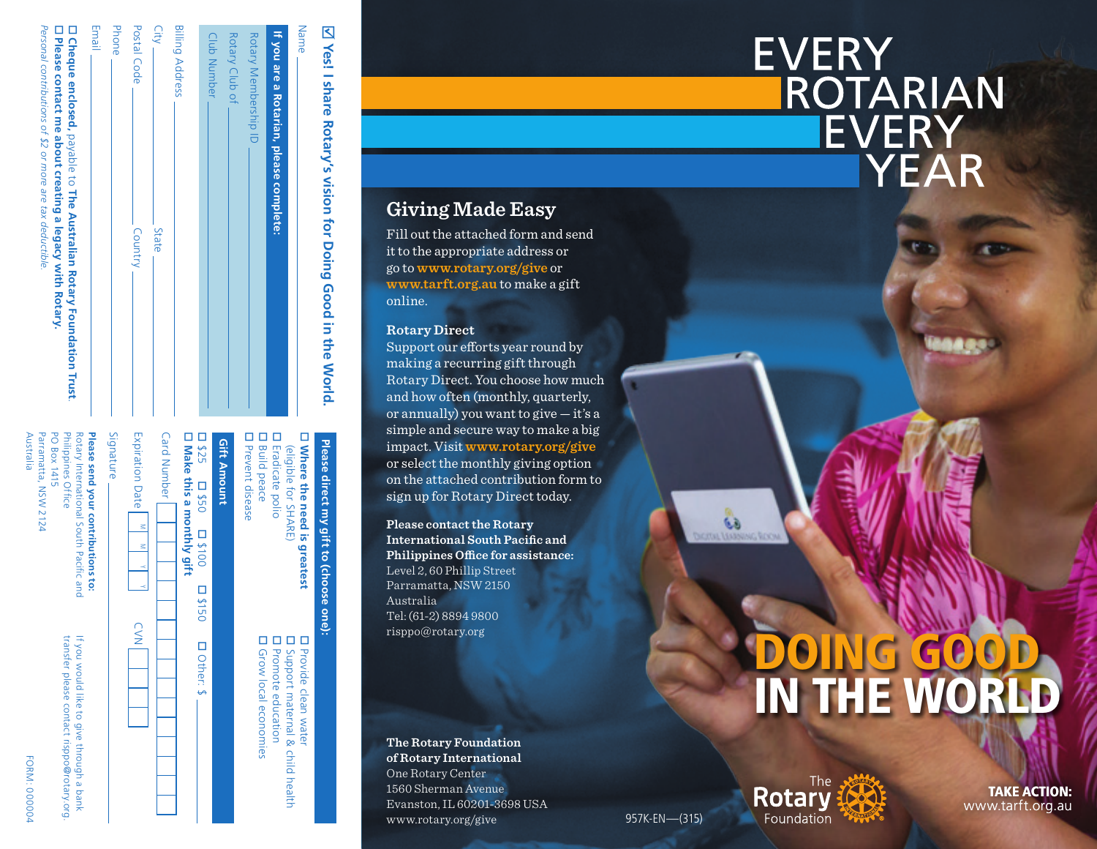| If you are a Rotarian, please complete:                                      |
|------------------------------------------------------------------------------|
| Rotary Membership ID                                                         |
| Rotary Club of                                                               |
| Club Number                                                                  |
| <b>Billing Address</b>                                                       |
| City -<br>- State                                                            |
| Postal Code<br>Country                                                       |
| Phone                                                                        |
| Email                                                                        |
| <b>D</b> Cheque enclosed, payable to The Australian Rotary Foundation Trust. |
| D Please contact me about creating a legacy with Rotary.                     |

*Personal contributions of \$2 or more are tax deductible.*

Personal contributions of \$2 or more are tax deductible

 $\ddot{\Omega}$  =  $\ddot{\Omega}$   $\ddot{\Omega}$  =  $\ddot{\Omega}$  =  $\ddot{\Omega}$ 

ਾ

| □ Where the need is greatest                                                                                             |        |                         | <b>D</b> Provide clean water                                                           |
|--------------------------------------------------------------------------------------------------------------------------|--------|-------------------------|----------------------------------------------------------------------------------------|
| <b>D</b> Eradicate polio<br>(eligible for SHARE)                                                                         |        |                         | <b>La Promote education</b><br>I Support maternal & child health                       |
| <b>D</b> Prevent disease<br><b>D</b> Build peace                                                                         |        |                         | <b>D</b> Grow local economies                                                          |
| <b>Gift Amount</b>                                                                                                       |        |                         |                                                                                        |
| □ Make this a monthly gift<br>D <sub>325</sub> D <sub>310</sub> D <sub>310</sub>                                         |        | <b>D<sub>3150</sub></b> | D Other: \$                                                                            |
| <b>Card Number</b>                                                                                                       |        |                         |                                                                                        |
| Expiration Date                                                                                                          | s<br>s |                         | $\leq$                                                                                 |
| Signature                                                                                                                |        |                         |                                                                                        |
| PO Box 1415<br><b>Philippines Office</b><br>Rotary International South Pacific and<br>Please send your contributions to: |        |                         | If you would like to give through a bank<br>transfer please contact risppo@rotary.org. |
| Australla<br>Parramatta, NSW 2124                                                                                        |        |                         | <b>FORM: 000004</b>                                                                    |

# **Giving Made Easy**

Fill out the attached form and send it to the appropriate address or go to **[www.rotary.org/give](http://www.rotary.org/give)** or **[www.tarft.org.au](http://www.tarft.org.au)** to make a gift online.

#### **Rotary Direct**

 $\overline{\mathsf{K}}$ 

Name

**Yes! I share Rotary's vision for Doing Good in the World.**

Yes! I share Rotary's vision for Doing Good in the World

**Please direct my gift to (choose one):**

Please direct my gift to (choose one)

o

Support our efforts year round by making a recurring gift through Rotary Direct. You choose how much and how often (monthly, quarterly, or annually) you want to give — it's a simple and secure way to make a big impact. Visit **[www.rotary.org/give](http://www.rotary.org/give)** or select the monthly giving option on the attached contribution form to sign up for Rotary Direct today.

**Please contact the Rotary International South Pacific and Philippines Office for assistance:**  Level 2, 60 Phillip Street Parramatta, NSW 2150 Australia Tel: (61-2) 8894 9800 [risppo@rotary.org](mailto:risppo%40rotary.org?subject=)

**The Rotary Foundation of Rotary International** One Rotary Center 1560 Sherman Avenue Evanston, IL 60201-3698 USA [www.rotary.org/give](http://www.rotary.org/give) 957K-EN—(315)

# DOING GOOD. IN THE WORLD



TAKE ACTION: [www.tarft.org.au](http://www.tarft.org.au)

# **EVERY ROTARIAN IEVERY YEAR**

6à